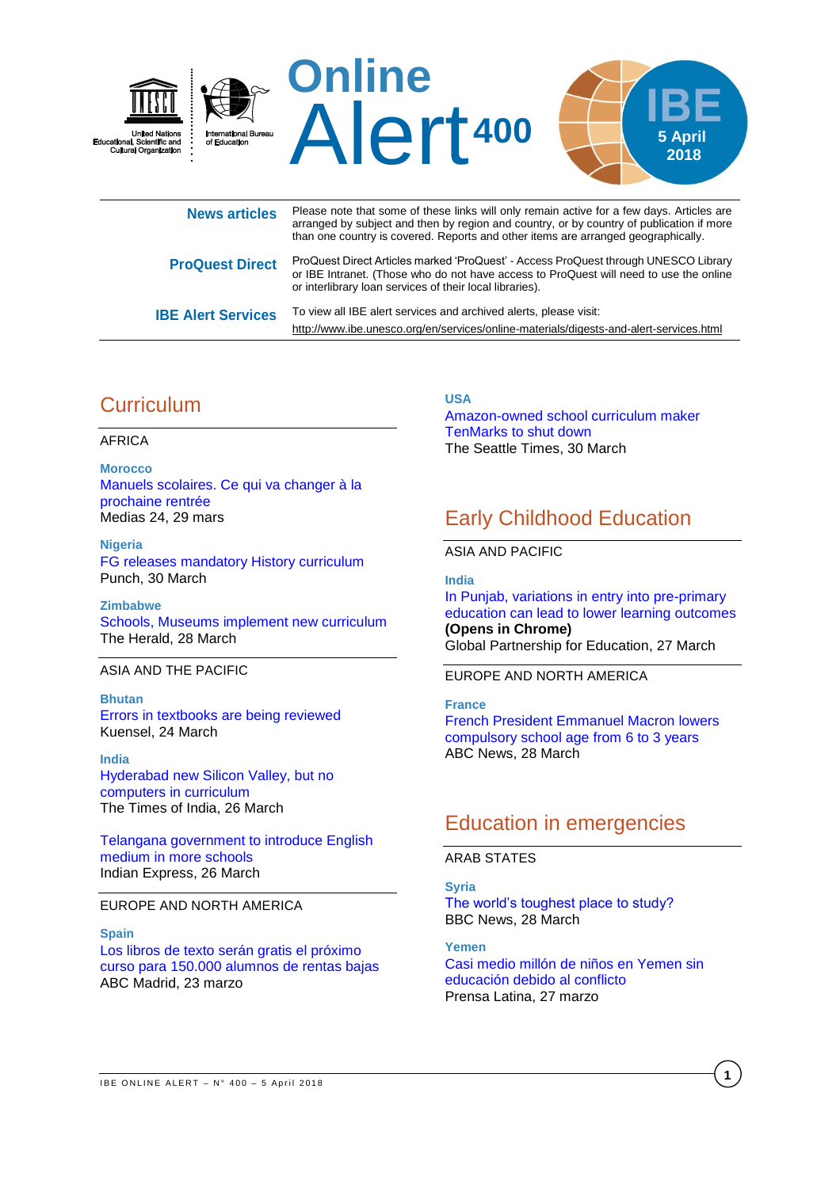

or interlibrary loan services of their local libraries). **IBE Alert Services** To view all IBE alert services and archived alerts, please visit: <http://www.ibe.unesco.org/en/services/online-materials/digests-and-alert-services.html>

# **Curriculum**

#### AFRICA

**Morocco** [Manuels scolaires. Ce qui va changer à la](https://www.medias24.com/MAROC/SOCIETE/181625-Manuels-scolaires.-Ce-qui-va-changer-a-la-prochaine-rentree.html)  [prochaine rentrée](https://www.medias24.com/MAROC/SOCIETE/181625-Manuels-scolaires.-Ce-qui-va-changer-a-la-prochaine-rentree.html) Medias 24, 29 mars

#### **Nigeria** [FG releases mandatory History curriculum](http://punchng.com/fg-releases-mandatory-history-curriculum/) Punch, 30 March

**Zimbabwe** [Schools, Museums implement new curriculum](https://www.herald.co.zw/schools-museums-implement-new-curriculum/) The Herald, 28 March

### ASIA AND THE PACIFIC

#### **Bhutan** Errors [in textbooks are being reviewed](http://www.kuenselonline.com/errors-in-textbooks-are-being-reviewed/) Kuensel, 24 March

**India** [Hyderabad new Silicon Valley, but no](https://timesofindia.indiatimes.com/city/hyderabad/hyderabad-new-silicon-valley-but-no-computers-in-curriculum/articleshow/63459127.cms)  [computers in curriculum](https://timesofindia.indiatimes.com/city/hyderabad/hyderabad-new-silicon-valley-but-no-computers-in-curriculum/articleshow/63459127.cms) The Times of India, 26 March

[Telangana government to introduce English](http://www.newindianexpress.com/states/telangana/2018/mar/26/telangana-government-to-introduce-english-medium-in-more-schools-1792481.html)  [medium in more schools](http://www.newindianexpress.com/states/telangana/2018/mar/26/telangana-government-to-introduce-english-medium-in-more-schools-1792481.html) Indian Express, 26 March

## EUROPE AND NORTH AMERICA

**Spain**

[Los libros de texto serán gratis el próximo](http://www.abc.es/espana/madrid/abci-libros-texto-seran-gratis-proximo-curso-para-150000-alumnos-rentas-bajas-201803220137_noticia.html)  [curso para 150.000 alumnos de rentas bajas](http://www.abc.es/espana/madrid/abci-libros-texto-seran-gratis-proximo-curso-para-150000-alumnos-rentas-bajas-201803220137_noticia.html) ABC Madrid, 23 marzo

**USA**

[Amazon-owned school curriculum maker](https://www.seattletimes.com/business/amazon/amazon-owned-school-curriculum-maker-tenmarks-to-shut-down/)  [TenMarks to shut down](https://www.seattletimes.com/business/amazon/amazon-owned-school-curriculum-maker-tenmarks-to-shut-down/) The Seattle Times, 30 March

# Early Childhood Education

## ASIA AND PACIFIC

**India** [In Punjab, variations in entry into pre-primary](https://www.globalpartnership.org/blog/punjab-variations-entry-pre-primary-education-can-lead-lower-learning-outcomes)  [education can lead to lower learning outcomes](https://www.globalpartnership.org/blog/punjab-variations-entry-pre-primary-education-can-lead-lower-learning-outcomes) **[\(Opens in Chrome\)](https://www.globalpartnership.org/blog/punjab-variations-entry-pre-primary-education-can-lead-lower-learning-outcomes)** Global Partnership for Education, 27 March

## EUROPE AND NORTH AMERICA

**France** [French President Emmanuel Macron lowers](http://www.abc.net.au/news/2018-03-28/france-to-lower-compulsory-school-age-from-6-to-3-years/9595884)  [compulsory school age from 6 to 3 years](http://www.abc.net.au/news/2018-03-28/france-to-lower-compulsory-school-age-from-6-to-3-years/9595884) ABC News, 28 March

## Education in emergencies

### ARAB STATES

**Syria** [The world's toughest place to study?](http://www.bbc.com/news/business-43555596) BBC News, 28 March

**Yemen** [Casi medio millón de niños en Yemen sin](http://www.prensa-latina.cu/index.php?o=rn&id=163496&SEO=casi-medio-millon-de-ninos-en-yemen-sin-educacion-debido-al-conflicto)  [educación debido al conflicto](http://www.prensa-latina.cu/index.php?o=rn&id=163496&SEO=casi-medio-millon-de-ninos-en-yemen-sin-educacion-debido-al-conflicto) Prensa Latina, 27 marzo

**1**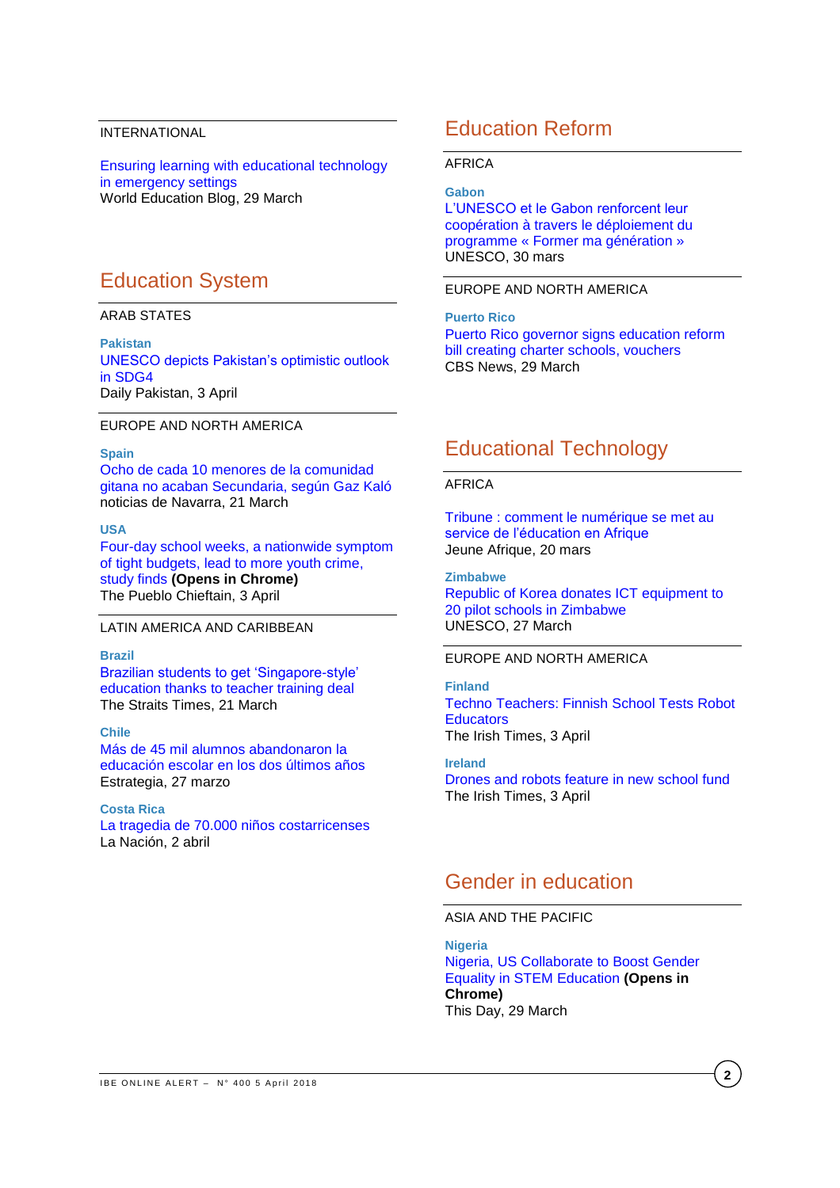### INTERNATIONAL

[Ensuring learning with educational technology](https://gemreportunesco.wordpress.com/2018/03/29/ensuring-learning-with-educational-technology-in-emergency-settings/)  [in emergency settings](https://gemreportunesco.wordpress.com/2018/03/29/ensuring-learning-with-educational-technology-in-emergency-settings/) World Education Blog, 29 March

## Education System

## ARAB STATES

**Pakistan** [UNESCO depicts Pakistan's optimistic outlook](https://en.dailypakistan.com.pk/opinion/unseco-depicts-pakistans-optimistic-outlook-in-sdg4/)  [in SDG4](https://en.dailypakistan.com.pk/opinion/unseco-depicts-pakistans-optimistic-outlook-in-sdg4/) Daily Pakistan, 3 April

### EUROPE AND NORTH AMERICA

#### **Spain**

[Ocho de cada 10 menores de la comunidad](http://www.noticiasdenavarra.com/2018/03/27/sociedad/navarra/ocho-de-cada-10-menores-comunidad-gitana-no-acaban-secundaria-segun-gaz-kalo)  [gitana no acaban Secundaria, según Gaz Kaló](http://www.noticiasdenavarra.com/2018/03/27/sociedad/navarra/ocho-de-cada-10-menores-comunidad-gitana-no-acaban-secundaria-segun-gaz-kalo) noticias de Navarra, 21 March

#### **USA**

[Four-day school weeks, a nationwide symptom](https://www.chieftain.com/news/education/day-school-weeks-a-nationwide-symptom-of-tight-budgets-lead/article_629c73e8-3756-11e8-822c-f3a066e62a3b.html)  [of tight budgets, lead to more youth crime,](https://www.chieftain.com/news/education/day-school-weeks-a-nationwide-symptom-of-tight-budgets-lead/article_629c73e8-3756-11e8-822c-f3a066e62a3b.html)  study finds **[\(Opens in Chrome\)](https://www.chieftain.com/news/education/day-school-weeks-a-nationwide-symptom-of-tight-budgets-lead/article_629c73e8-3756-11e8-822c-f3a066e62a3b.html)** The Pueblo Chieftain, 3 April

### LATIN AMERICA AND CARIBBEAN

### **Brazil**

[Brazilian students to get 'Singapore-style'](http://www.straitstimes.com/singapore/education/brazilian-students-to-get-singapore-style-education-thanks-to-teacher-training)  [education thanks to teacher training deal](http://www.straitstimes.com/singapore/education/brazilian-students-to-get-singapore-style-education-thanks-to-teacher-training) The Straits Times, 21 March

#### **Chile**

[Más de 45 mil alumnos abandonaron la](http://www.estrategia.cl/texto-diario/mostrar/1041277/45-mil-alumnos-abandonaron-educacion-escolar-ultimos-anos)  [educación escolar en los dos últimos años](http://www.estrategia.cl/texto-diario/mostrar/1041277/45-mil-alumnos-abandonaron-educacion-escolar-ultimos-anos) Estrategia, 27 marzo

### **Costa Rica**

[La tragedia de 70.000 niños costarricenses](https://www.nacion.com/opinion/columnistas/la-tragedia-de-70000-ninos-costarricenses/YDVRZY2UGJE5PG5GYODW47U5IE/story/) La Nación, 2 abril

## Education Reform

#### AFRICA

**Gabon** [L'UNESCO et le Gabon renforcent leur](https://fr.unesco.org/news/unesco-gabon-renforcent-leur-cooperation-travers-deploiement-du-programme-former-ma-generation)  [coopération à travers le déploiement du](https://fr.unesco.org/news/unesco-gabon-renforcent-leur-cooperation-travers-deploiement-du-programme-former-ma-generation)  [programme « Former ma génération »](https://fr.unesco.org/news/unesco-gabon-renforcent-leur-cooperation-travers-deploiement-du-programme-former-ma-generation) UNESCO, 30 mars

#### EUROPE AND NORTH AMERICA

**Puerto Rico** [Puerto Rico governor signs education reform](https://www.cbsnews.com/news/puerto-rico-governor-signs-education-reform-bill-creating-charter-schools-vouchers/)  [bill creating charter schools, vouchers](https://www.cbsnews.com/news/puerto-rico-governor-signs-education-reform-bill-creating-charter-schools-vouchers/) CBS News, 29 March

## Educational Technology

#### AFRICA

Tribune [: comment le numérique se met au](http://www.jeuneafrique.com/emploi-formation/544049/tribune-comment-le-numerique-se-met-au-service-de-leducation-en-afrique/)  [service de l'éducation en Afrique](http://www.jeuneafrique.com/emploi-formation/544049/tribune-comment-le-numerique-se-met-au-service-de-leducation-en-afrique/) Jeune Afrique, 20 mars

#### **Zimbabwe**

[Republic of Korea donates ICT equipment to](http://www.unesco.org/new/en/harare/about-this-office/single-view/news/republic_of_korea_donates_ict_equipment_to_20_pilot_schools/)  [20 pilot schools in Zimbabwe](http://www.unesco.org/new/en/harare/about-this-office/single-view/news/republic_of_korea_donates_ict_equipment_to_20_pilot_schools/) UNESCO, 27 March

## EUROPE AND NORTH AMERICA

**Finland** [Techno Teachers: Finnish School Tests Robot](https://www.voanews.com/a/finland-school-robot-educators/4319807.html)  **[Educators](https://www.voanews.com/a/finland-school-robot-educators/4319807.html)** The Irish Times, 3 April

**Ireland** [Drones and robots feature in new school fund](https://www.irishtimes.com/news/education/drones-and-robots-feature-in-new-school-fund-1.3447442) The Irish Times, 3 April

## Gender in education

## ASIA AND THE PACIFIC

**Nigeria** [Nigeria, US Collaborate to Boost Gender](https://www.thisdaylive.com/index.php/2018/03/29/nigeria-us-collaborate-to-boost-gender-equality-in-stem-education/)  [Equality in STEM Education](https://www.thisdaylive.com/index.php/2018/03/29/nigeria-us-collaborate-to-boost-gender-equality-in-stem-education/) **(Opens in [Chrome\)](https://www.thisdaylive.com/index.php/2018/03/29/nigeria-us-collaborate-to-boost-gender-equality-in-stem-education/)** This Day, 29 March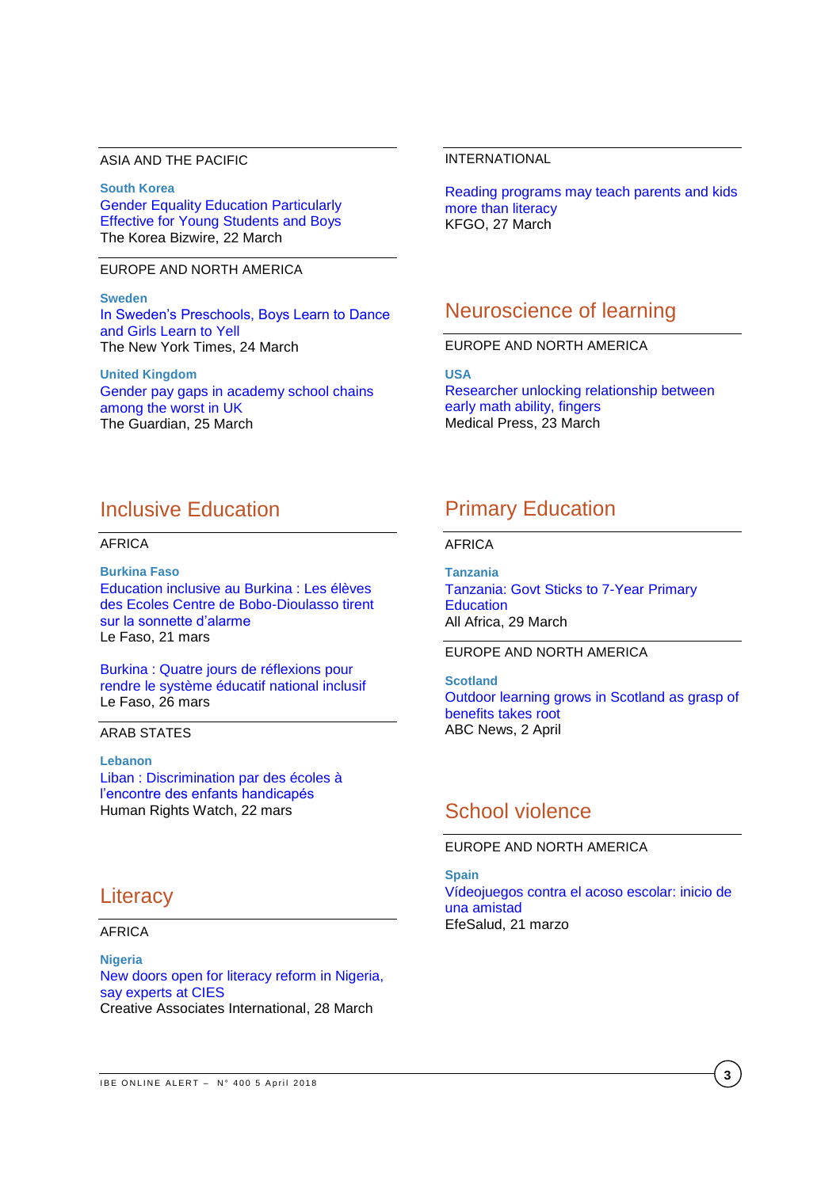#### ASIA AND THE PACIFIC

**South Korea** [Gender Equality Education Particularly](http://koreabizwire.com/gender-equality-education-particularly-effective-for-young-students-and-boys/114795)  [Effective for Young Students and Boys](http://koreabizwire.com/gender-equality-education-particularly-effective-for-young-students-and-boys/114795) The Korea Bizwire, 22 March

EUROPE AND NORTH AMERICA

**Sweden** In Sweden's Preschools, Boys Learn to Dance [and Girls Learn to Yell](https://www.nytimes.com/2018/03/24/world/europe/sweden-gender-neutral-preschools.html) The New York Times, 24 March

**United Kingdom** Gender [pay gaps in academy school chains](https://www.theguardian.com/news/2018/mar/25/gender-pay-gaps-in-academy-school-chains-among-the-worst-in-uk)  [among the worst in UK](https://www.theguardian.com/news/2018/mar/25/gender-pay-gaps-in-academy-school-chains-among-the-worst-in-uk) The Guardian, 25 March

#### INTERNATIONAL

[Reading programs may teach parents and kids](http://kfgo.com/news/articles/2018/mar/27/reading-programs-may-teach-parents-and-kids-more-than-literacy/)  more [than literacy](http://kfgo.com/news/articles/2018/mar/27/reading-programs-may-teach-parents-and-kids-more-than-literacy/) KFGO, 27 March

## Neuroscience of learning

EUROPE AND NORTH AMERICA

**USA** [Researcher unlocking relationship between](https://medicalxpress.com/news/2018-03-relationship-early-math-ability-fingers.html)  [early math ability, fingers](https://medicalxpress.com/news/2018-03-relationship-early-math-ability-fingers.html) Medical Press, 23 March

## Inclusive Education

AFRICA

**Burkina Faso** [Education inclusive au Burkina](http://lefaso.net/spip.php?article82555) : Les élèves [des Ecoles Centre de Bobo-Dioulasso tirent](http://lefaso.net/spip.php?article82555)  [sur la sonnette d'alarme](http://lefaso.net/spip.php?article82555) Le Faso, 21 mars

Burkina [: Quatre jours de réflexions pour](http://lefaso.net/spip.php?article82640)  [rendre le système éducatif national inclusif](http://lefaso.net/spip.php?article82640) Le Faso, 26 mars

#### ARAB STATES

**Lebanon** [Liban : Discrimination par des écoles à](https://www.hrw.org/fr/news/2018/03/22/liban-discrimination-par-des-ecoles-lencontre-des-enfants-handicapes)  [l'encontre des enfants handicapés](https://www.hrw.org/fr/news/2018/03/22/liban-discrimination-par-des-ecoles-lencontre-des-enfants-handicapes) Human Rights Watch, 22 mars

## **Literacy**

AFRICA

**Nigeria** [New doors open for literacy reform in Nigeria,](https://www.creativeassociatesinternational.com/news/new-doors-open-for-literacy-reform-in-nigeria-say-experts-at-cies/)  [say experts at CIES](https://www.creativeassociatesinternational.com/news/new-doors-open-for-literacy-reform-in-nigeria-say-experts-at-cies/) Creative Associates International, 28 March

## Primary Education

AFRICA

**Tanzania** [Tanzania: Govt Sticks to 7-Year Primary](http://allafrica.com/stories/201803290720.html)  **[Education](http://allafrica.com/stories/201803290720.html)** All Africa, 29 March

## EUROPE AND NORTH AMERICA

**Scotland** [Outdoor learning grows in Scotland as grasp of](https://www.theguardian.com/education/2018/apr/02/forest-schools-grow-in-scotland-as-grasp-of-benefits-takes-root)  [benefits takes root](https://www.theguardian.com/education/2018/apr/02/forest-schools-grow-in-scotland-as-grasp-of-benefits-takes-root) ABC News, 2 April

## School violence

## EUROPE AND NORTH AMERICA

**Spain** [Vídeojuegos contra el acoso escolar: inicio de](http://www.efesalud.com/videojuegos-acoso-escolar)  [una amistad](http://www.efesalud.com/videojuegos-acoso-escolar) EfeSalud, 21 marzo